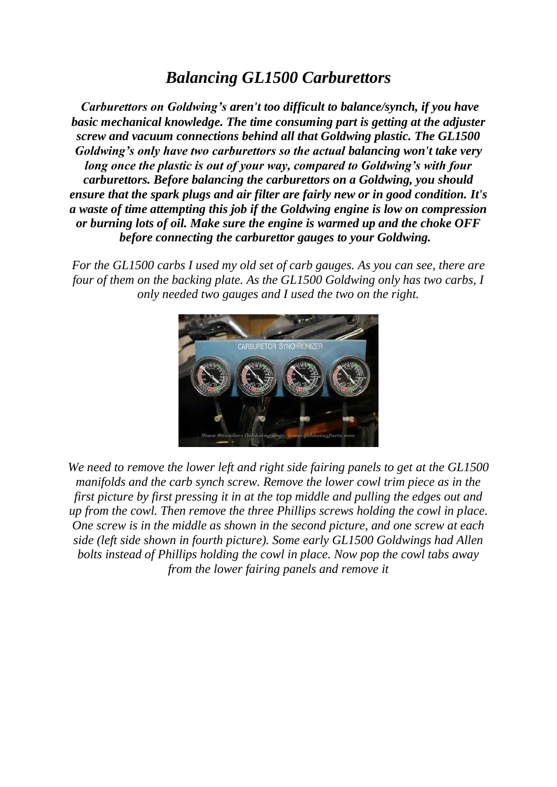## *Balancing GL1500 Carburettors*

*Carburettors on Goldwing's aren't too difficult to balance/synch, if you have basic mechanical knowledge. The time consuming part is getting at the adjuster screw and vacuum connections behind all that Goldwing plastic. The GL1500 Goldwing's only have two carburettors so the actual balancing won't take very long once the plastic is out of your way, compared to Goldwing's with four carburettors. Before balancing the carburettors on a Goldwing, you should ensure that the spark plugs and air filter are fairly new or in good condition. It's a waste of time attempting this job if the Goldwing engine is low on compression or burning lots of oil. Make sure the engine is warmed up and the choke OFF before connecting the carburettor gauges to your Goldwing.*

*For the GL1500 carbs I used my old set of carb gauges. As you can see, there are four of them on the backing plate. As the GL1500 Goldwing only has two carbs, I only needed two gauges and I used the two on the right.*



*We need to remove the lower left and right side fairing panels to get at the GL1500 manifolds and the carb synch screw. Remove the lower cowl trim piece as in the first picture by first pressing it in at the top middle and pulling the edges out and up from the cowl. Then remove the three Phillips screws holding the cowl in place. One screw is in the middle as shown in the second picture, and one screw at each side (left side shown in fourth picture). Some early GL1500 Goldwings had Allen bolts instead of Phillips holding the cowl in place. Now pop the cowl tabs away from the lower fairing panels and remove it*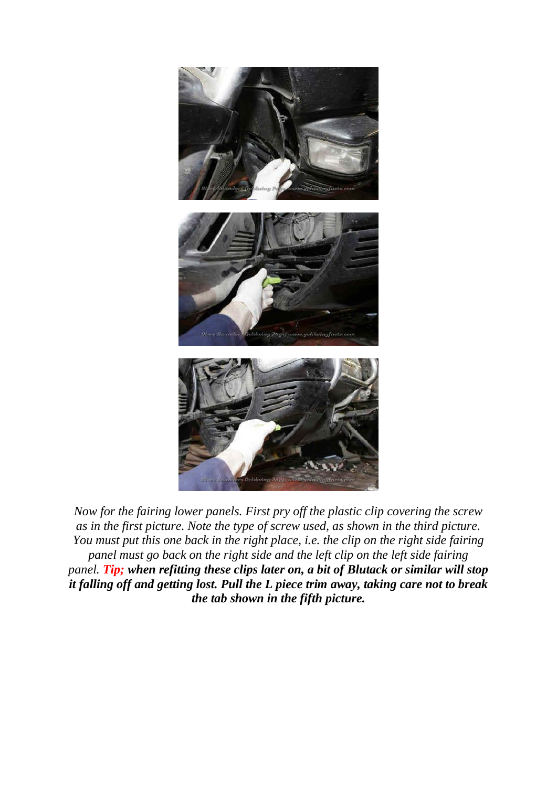

*Now for the fairing lower panels. First pry off the plastic clip covering the screw as in the first picture. Note the type of screw used, as shown in the third picture. You must put this one back in the right place, i.e. the clip on the right side fairing panel must go back on the right side and the left clip on the left side fairing panel. Tip; when refitting these clips later on, a bit of Blutack or similar will stop it falling off and getting lost. Pull the L piece trim away, taking care not to break the tab shown in the fifth picture.*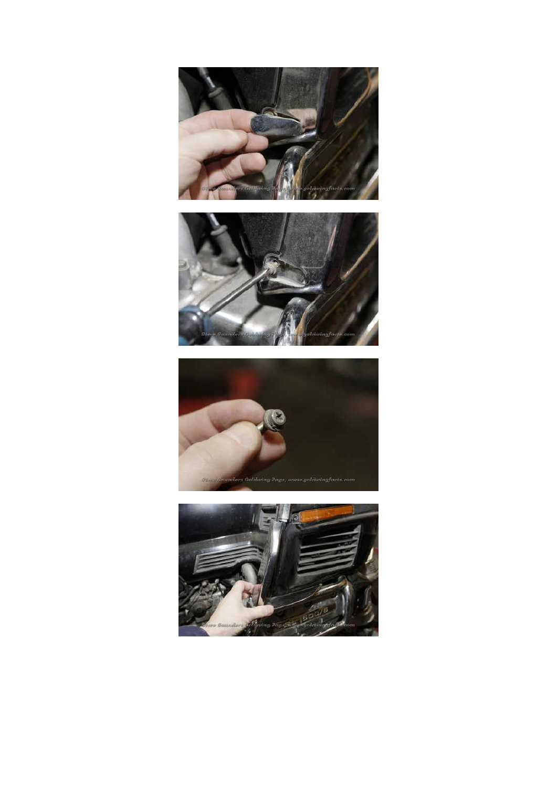

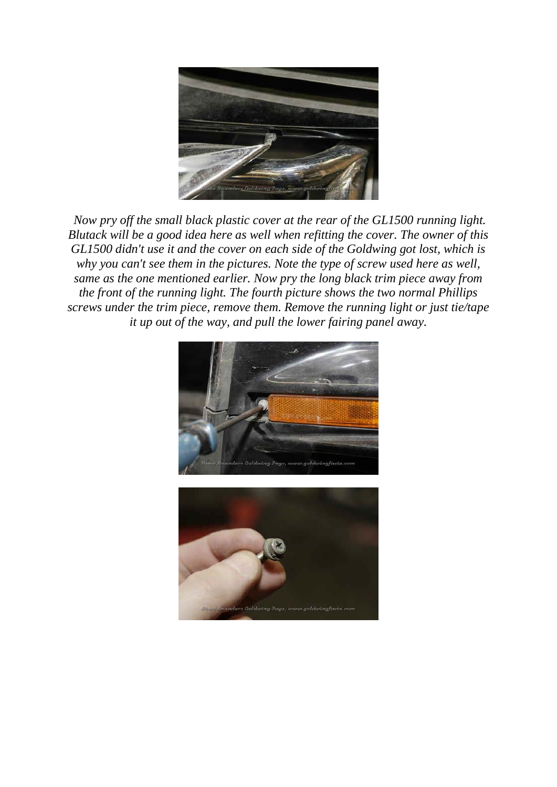

*Now pry off the small black plastic cover at the rear of the GL1500 running light. Blutack will be a good idea here as well when refitting the cover. The owner of this GL1500 didn't use it and the cover on each side of the Goldwing got lost, which is why you can't see them in the pictures. Note the type of screw used here as well, same as the one mentioned earlier. Now pry the long black trim piece away from the front of the running light. The fourth picture shows the two normal Phillips screws under the trim piece, remove them. Remove the running light or just tie/tape it up out of the way, and pull the lower fairing panel away.*



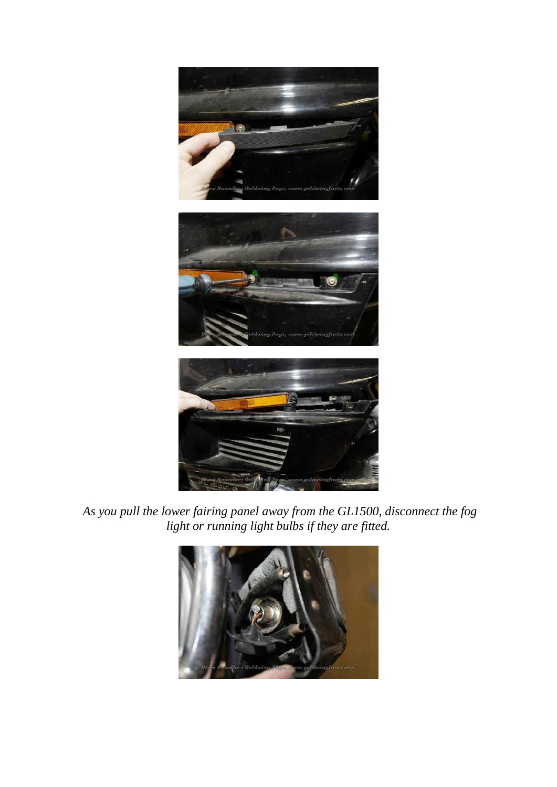





*As you pull the lower fairing panel away from the GL1500, disconnect the fog light or running light bulbs if they are fitted.*

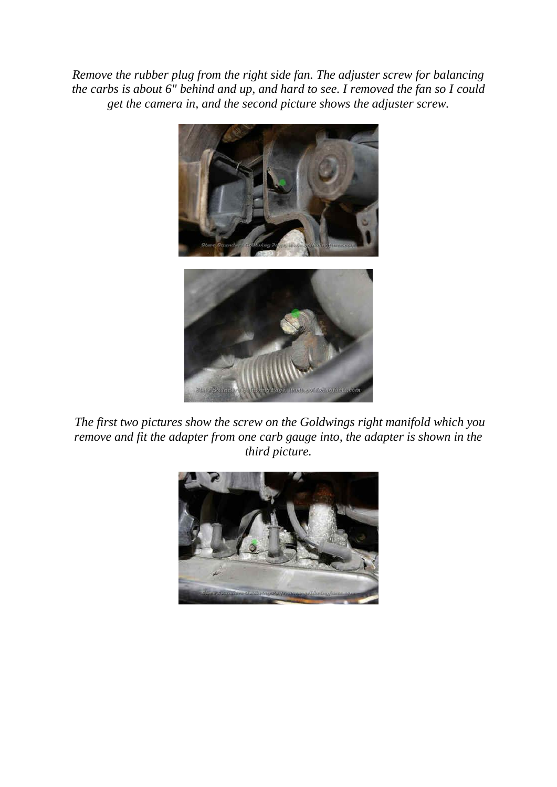*Remove the rubber plug from the right side fan. The adjuster screw for balancing the carbs is about 6" behind and up, and hard to see. I removed the fan so I could get the camera in, and the second picture shows the adjuster screw.*



*The first two pictures show the screw on the Goldwings right manifold which you remove and fit the adapter from one carb gauge into, the adapter is shown in the third picture.*

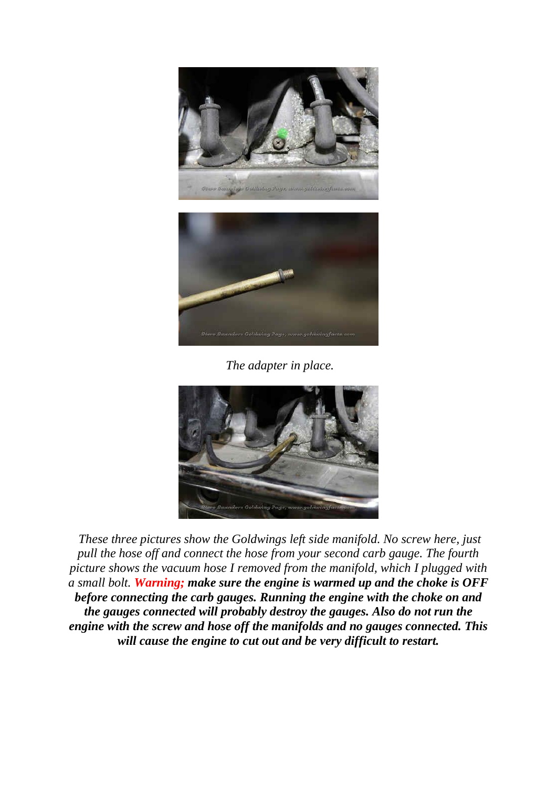



*The adapter in place.*



*These three pictures show the Goldwings left side manifold. No screw here, just pull the hose off and connect the hose from your second carb gauge. The fourth picture shows the vacuum hose I removed from the manifold, which I plugged with a small bolt. Warning; make sure the engine is warmed up and the choke is OFF before connecting the carb gauges. Running the engine with the choke on and the gauges connected will probably destroy the gauges. Also do not run the engine with the screw and hose off the manifolds and no gauges connected. This will cause the engine to cut out and be very difficult to restart.*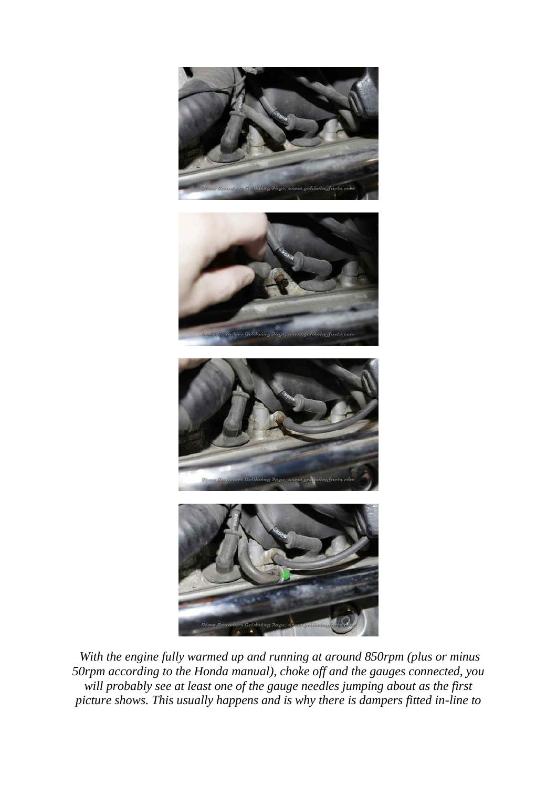

*With the engine fully warmed up and running at around 850rpm (plus or minus 50rpm according to the Honda manual), choke off and the gauges connected, you will probably see at least one of the gauge needles jumping about as the first picture shows. This usually happens and is why there is dampers fitted in-line to*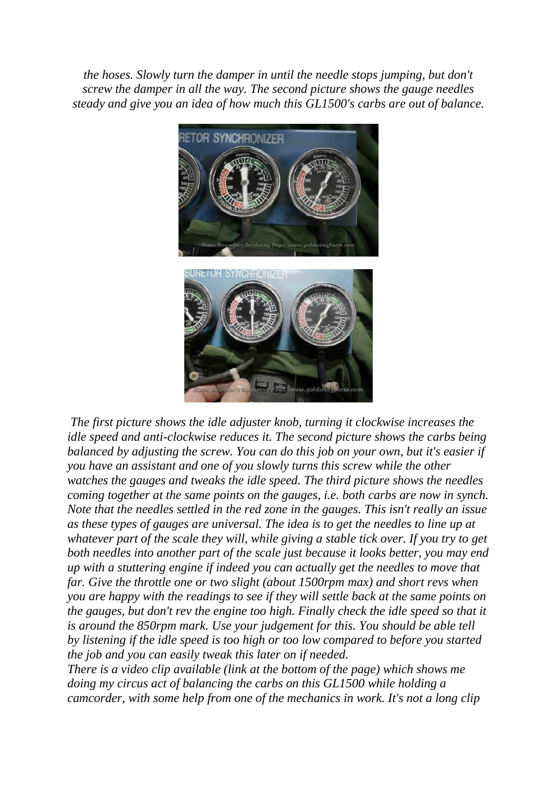*the hoses. Slowly turn the damper in until the needle stops jumping, but don't screw the damper in all the way. The second picture shows the gauge needles steady and give you an idea of how much this GL1500's carbs are out of balance.*



*The first picture shows the idle adjuster knob, turning it clockwise increases the idle speed and anti-clockwise reduces it. The second picture shows the carbs being balanced by adjusting the screw. You can do this job on your own, but it's easier if you have an assistant and one of you slowly turns this screw while the other watches the gauges and tweaks the idle speed. The third picture shows the needles coming together at the same points on the gauges, i.e. both carbs are now in synch. Note that the needles settled in the red zone in the gauges. This isn't really an issue as these types of gauges are universal. The idea is to get the needles to line up at whatever part of the scale they will, while giving a stable tick over. If you try to get both needles into another part of the scale just because it looks better, you may end up with a stuttering engine if indeed you can actually get the needles to move that far. Give the throttle one or two slight (about 1500rpm max) and short revs when you are happy with the readings to see if they will settle back at the same points on the gauges, but don't rev the engine too high. Finally check the idle speed so that it is around the 850rpm mark. Use your judgement for this. You should be able tell by listening if the idle speed is too high or too low compared to before you started the job and you can easily tweak this later on if needed.*

*There is a video clip available (link at the bottom of the page) which shows me doing my circus act of balancing the carbs on this GL1500 while holding a camcorder, with some help from one of the mechanics in work. It's not a long clip*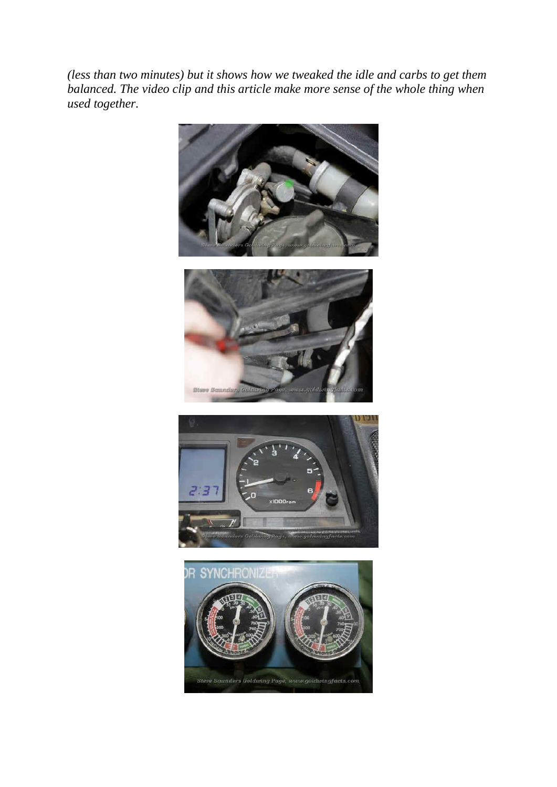*(less than two minutes) but it shows how we tweaked the idle and carbs to get them balanced. The video clip and this article make more sense of the whole thing when used together.*